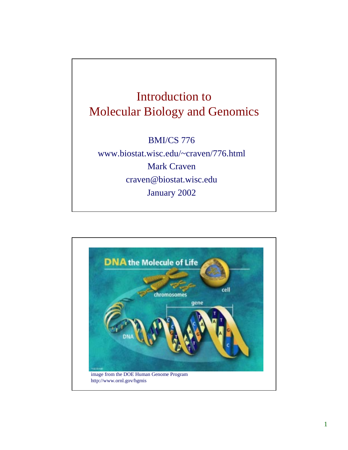

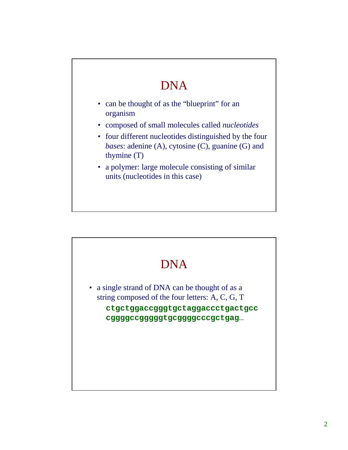# DNA

- can be thought of as the "blueprint" for an organism
- composed of small molecules called *nucleotides*
- four different nucleotides distinguished by the four *bases*: adenine (A), cytosine (C), guanine (G) and thymine (T)
- a polymer: large molecule consisting of similar units (nucleotides in this case)

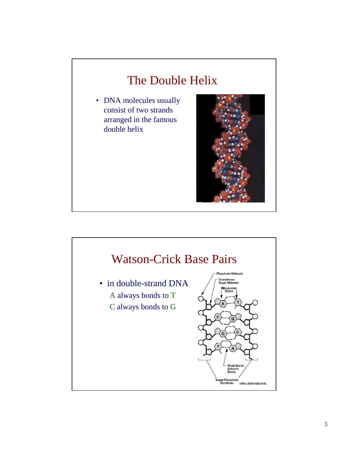#### The Double Helix

• DNA molecules usually consist of two strands arranged in the famous double helix



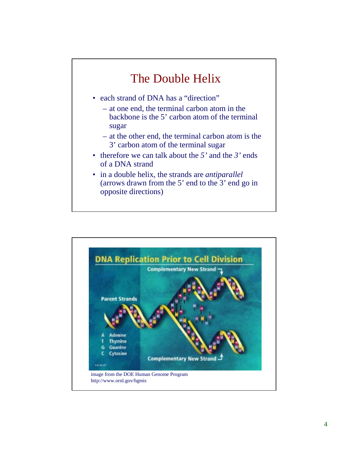## The Double Helix

- each strand of DNA has a "direction"
	- at one end, the terminal carbon atom in the backbone is the 5' carbon atom of the terminal sugar
	- at the other end, the terminal carbon atom is the 3' carbon atom of the terminal sugar
- therefore we can talk about the *5'* and the *3'* ends of a DNA strand
- in a double helix, the strands are *antiparallel* (arrows drawn from the 5' end to the 3' end go in opposite directions)

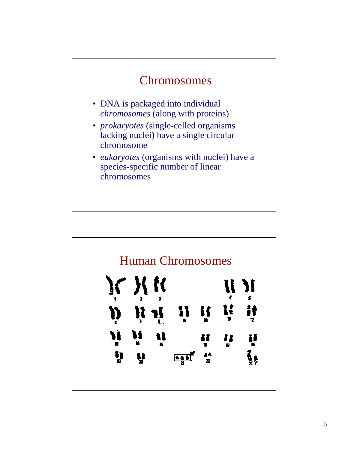#### **Chromosomes**

- DNA is packaged into individual *chromosomes* (along with proteins)
- *prokaryotes* (single-celled organisms lacking nuclei) have a single circular chromosome
- *eukaryotes* (organisms with nuclei) have a species-specific number of linear chromosomes

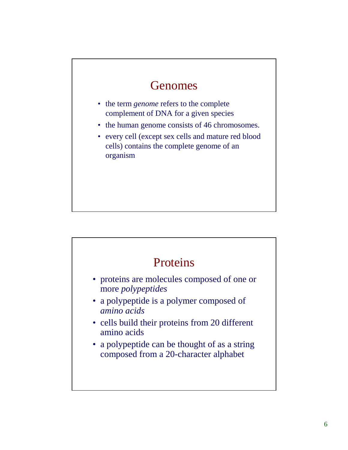### Genomes

- the term *genome* refers to the complete complement of DNA for a given species
- the human genome consists of 46 chromosomes.
- every cell (except sex cells and mature red blood cells) contains the complete genome of an organism

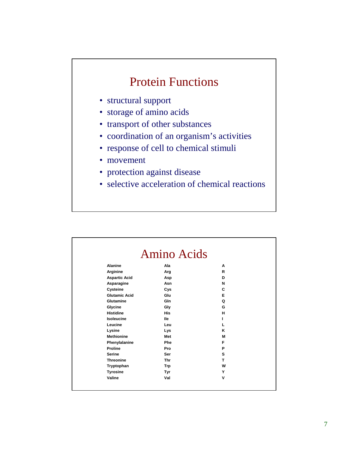## Protein Functions

- structural support
- storage of amino acids
- transport of other substances
- coordination of an organism's activities
- response of cell to chemical stimuli
- movement
- protection against disease
- selective acceleration of chemical reactions

|                      | <b>Amino Acids</b> |   |  |
|----------------------|--------------------|---|--|
| <b>Alanine</b>       | Ala                | A |  |
| Arginine             | Arg                | R |  |
| <b>Aspartic Acid</b> | Asp                | D |  |
| Asparagine           | Asn                | N |  |
| Cysteine             | Cys                | C |  |
| <b>Glutamic Acid</b> | Glu                | Е |  |
| Glutamine            | GIn                | Q |  |
| Glycine              | Gly                | G |  |
| <b>Histidine</b>     | <b>His</b>         | н |  |
| Isoleucine           | lle                | ı |  |
| Leucine              | Leu                | L |  |
| Lysine               | Lys                | κ |  |
| <b>Methionine</b>    | <b>Met</b>         | м |  |
| Phenylalanine        | Phe                | F |  |
| <b>Proline</b>       | Pro                | P |  |
| <b>Serine</b>        | Ser                | s |  |
| <b>Threonine</b>     | <b>Thr</b>         | т |  |
| Tryptophan           | <b>Trp</b>         | W |  |
| <b>Tyrosine</b>      | Tyr                | Y |  |
| Valine               | Val                | v |  |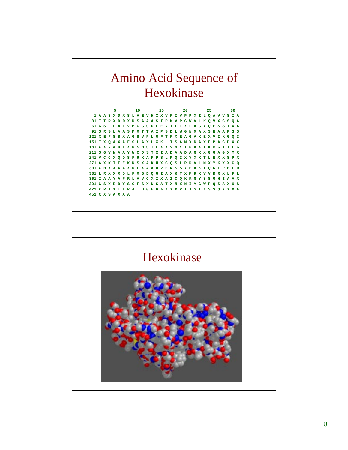

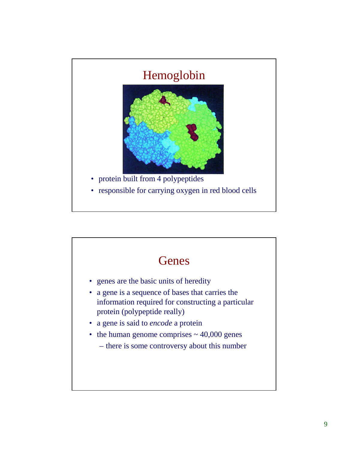

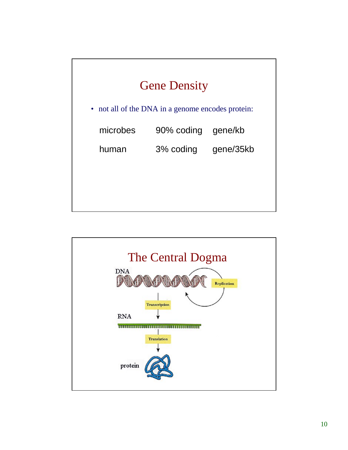

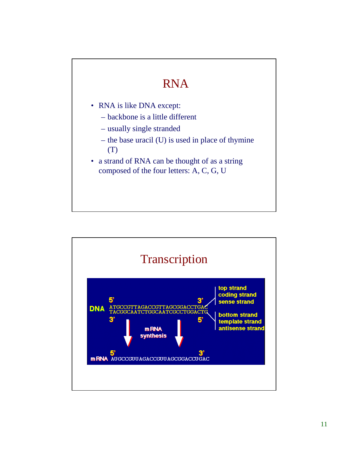# RNA

- RNA is like DNA except:
	- backbone is a little different
	- usually single stranded
	- the base uracil (U) is used in place of thymine (T)
- a strand of RNA can be thought of as a string composed of the four letters: A, C, G, U

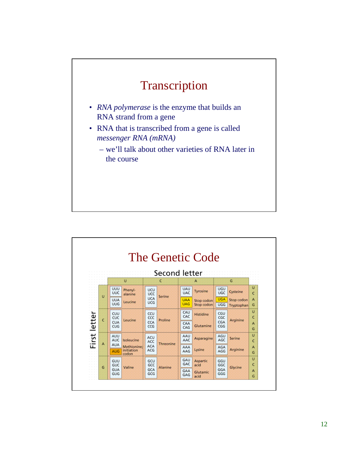

| The Genetic Code<br>Second letter |   |                                                                |                    |                          |            |                          |                          |                          |                          |        |
|-----------------------------------|---|----------------------------------------------------------------|--------------------|--------------------------|------------|--------------------------|--------------------------|--------------------------|--------------------------|--------|
|                                   |   |                                                                | U                  |                          | c          |                          | А                        |                          | G                        |        |
|                                   |   | UUU<br>UUC                                                     | Phenyl-<br>alanine | <b>UCU</b><br>UCC        |            | <b>UAU</b><br><b>UAC</b> | Tyrosine                 | UGU<br><b>UGC</b>        | Cysteine                 | U<br>Ć |
|                                   | U | <b>UUA</b><br><b>UUG</b>                                       | Leucine            | <b>UCA</b><br><b>UCG</b> | Serine     | <b>UAA</b><br><b>UAG</b> | Stop codon<br>Stop codon | <b>UGA</b><br>UGG        | Stop codon<br>Tryptophan | A<br>G |
|                                   |   | CUU<br>CUC                                                     | Leucine            | CCU<br>CCC               | Proline    | CAU<br>CAC               | Histidine                | CGU<br>CGC               |                          | U<br>c |
| letter                            | c | <b>CUA</b><br>CUG                                              |                    | CCA<br>CCG               |            | CAA<br>CAG               | Glutamine                | CGA<br>CGG               | Arginine                 | А<br>G |
| First                             | А | AUU<br>AUC                                                     | Isoleucine         | ACU<br>ACC               | Threonine  | AAU<br>AAC               | Asparagine               | AGU<br>AGC               | Serine                   | U<br>c |
|                                   |   | <b>AUA</b><br>Methionine:<br>initiation<br><b>AUG</b><br>codon | ACA<br>ACG         |                          | AAA<br>AAG | Lysine                   | AGA<br>AGG               | Arginine                 | А<br>G                   |        |
|                                   | G | GUU<br>GUC                                                     | Valine             | GCU<br>GCC               | Alanine    | GAU<br>GAC               | Aspartic<br>acid         | GGU<br>GGC<br>GGA<br>GGG | Glycine                  | U<br>c |
|                                   |   | <b>GUA</b><br>GUG                                              |                    | GCA<br>GCG               |            | GAA<br>GAG               | Glutamic<br>acid         |                          |                          | А<br>G |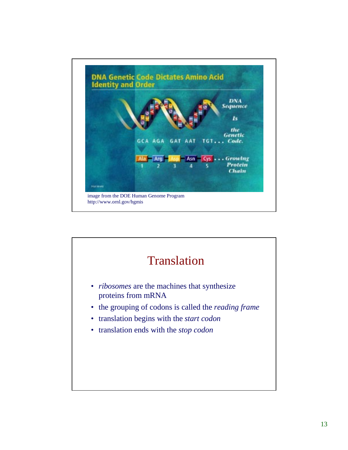

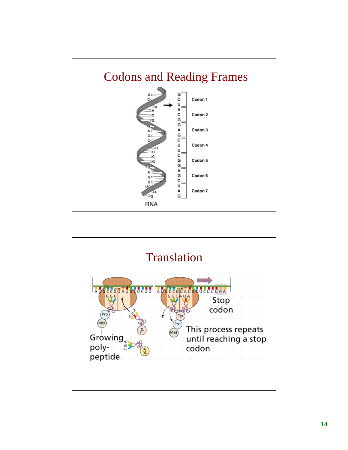

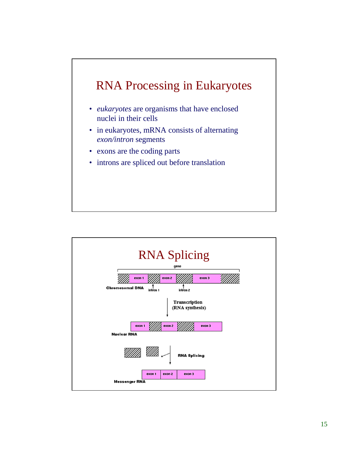

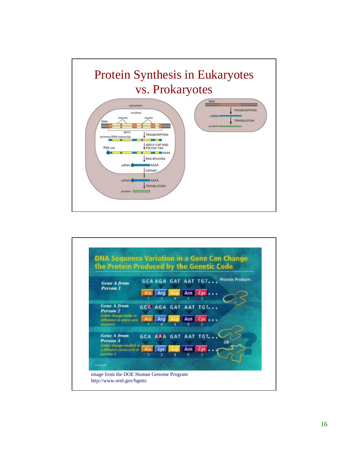